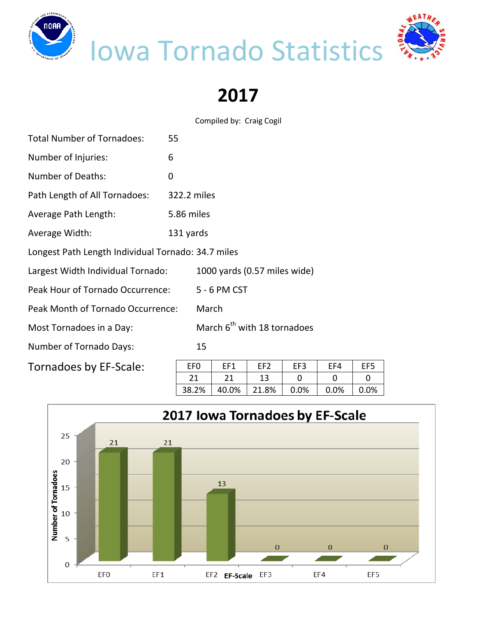

## Iowa Tornado Statistics



**2017**

Compiled by: Craig Cogil

| <b>Total Number of Tornadoes:</b>                  | 55                                      |              |                              |     |     |  |  |  |  |  |
|----------------------------------------------------|-----------------------------------------|--------------|------------------------------|-----|-----|--|--|--|--|--|
| Number of Injuries:                                | 6                                       |              |                              |     |     |  |  |  |  |  |
| <b>Number of Deaths:</b><br>0                      |                                         |              |                              |     |     |  |  |  |  |  |
| Path Length of All Tornadoes:                      | 322.2 miles                             |              |                              |     |     |  |  |  |  |  |
| Average Path Length:                               | 5.86 miles                              |              |                              |     |     |  |  |  |  |  |
| Average Width:                                     | 131 yards                               |              |                              |     |     |  |  |  |  |  |
| Longest Path Length Individual Tornado: 34.7 miles |                                         |              |                              |     |     |  |  |  |  |  |
| Largest Width Individual Tornado:                  |                                         |              | 1000 yards (0.57 miles wide) |     |     |  |  |  |  |  |
| Peak Hour of Tornado Occurrence:                   |                                         | 5 - 6 PM CST |                              |     |     |  |  |  |  |  |
| Peak Month of Tornado Occurrence:                  | March                                   |              |                              |     |     |  |  |  |  |  |
| Most Tornadoes in a Day:                           | March 6 <sup>th</sup> with 18 tornadoes |              |                              |     |     |  |  |  |  |  |
| <b>Number of Tornado Days:</b>                     | 15                                      |              |                              |     |     |  |  |  |  |  |
| Tornadoes by EF-Scale:                             | EF <sub>0</sub>                         | EF1          | EF <sub>2</sub>              | EF3 | EF4 |  |  |  |  |  |

| FF <sub>0</sub> | FF1   | FF <sub>2</sub> | EF3  | FF4  | EF <sub>5</sub> |
|-----------------|-------|-----------------|------|------|-----------------|
|                 |       |                 |      |      |                 |
| 38.2%           | 40.0% | 21.8%           | 0.0% | 0.0% | በ በ%            |

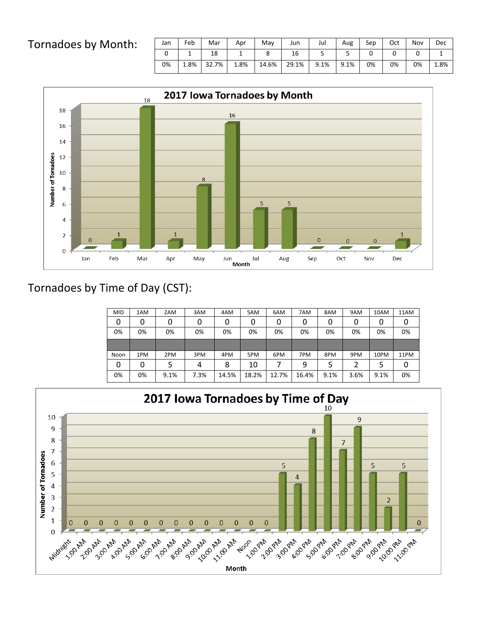## Tornadoes by Month:

| Jan | Feb  | Mar   | Apr  | May   | Jun   | Jul  | Aug  | Sep | Oct | Nov | Dec  |
|-----|------|-------|------|-------|-------|------|------|-----|-----|-----|------|
|     |      | 18    |      |       | 16    |      |      |     |     |     |      |
| 0%  | 1.8% | 32.7% | 1.8% | 14.6% | 29.1% | 9.1% | 9.1% | 0%  | 0%  | 0%  | 1.8% |



## Tornadoes by Time of Day (CST):

| <b>MID</b> | 1AM | 2AM  | 3AM  | 4AM   | 5AM   | 6AM   | 7AM   | 8AM  | 9AM  | 10AM | 11AM |
|------------|-----|------|------|-------|-------|-------|-------|------|------|------|------|
| 0          | 0   |      | 0    | 0     | 0     | 0     | 0     | 0    | 0    | 0    | 0    |
| 0%         | 0%  | 0%   | 0%   | 0%    | 0%    | 0%    | 0%    | 0%   | 0%   | 0%   | 0%   |
|            |     |      |      |       |       |       |       |      |      |      |      |
| Noon       | 1PM | 2PM  | 3PM  | 4PM   | 5PM   | 6PM   | 7PM   | 8PM  | 9PM  | 10PM | 11PM |
| 0          | 0   |      | 4    | 8     | 10    |       | 9     | 5    |      | 5    | 0    |
| 0%         | 0%  | 9.1% | 7.3% | 14.5% | 18.2% | 12.7% | 16.4% | 9.1% | 3.6% | 9.1% | 0%   |